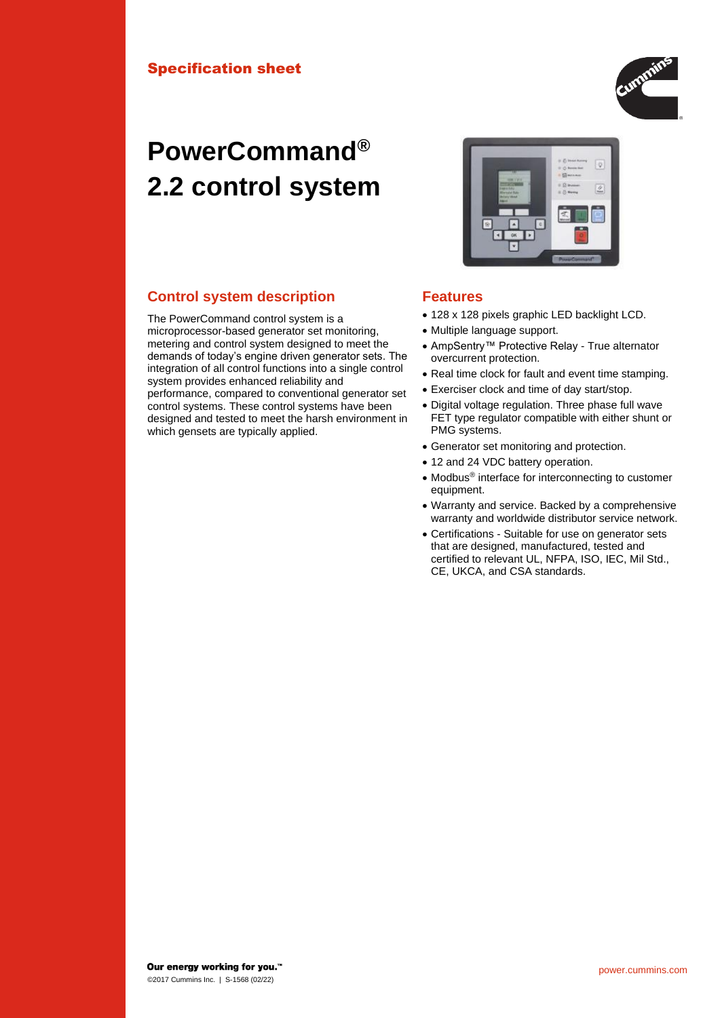# **PowerCommand® 2.2 control system**

### **Control system description Features**

The PowerCommand control system is a microprocessor-based generator set monitoring, metering and control system designed to meet the demands of today's engine driven generator sets. The integration of all control functions into a single control system provides enhanced reliability and performance, compared to conventional generator set control systems. These control systems have been designed and tested to meet the harsh environment in which gensets are typically applied.



- 128 x 128 pixels graphic LED backlight LCD.
- Multiple language support.
- AmpSentry™ Protective Relay True alternator overcurrent protection.
- Real time clock for fault and event time stamping.
- Exerciser clock and time of day start/stop.
- Digital voltage regulation. Three phase full wave FET type regulator compatible with either shunt or PMG systems.
- Generator set monitoring and protection.
- 12 and 24 VDC battery operation.
- Modbus® interface for interconnecting to customer equipment.
- Warranty and service. Backed by a comprehensive warranty and worldwide distributor service network.
- Certifications Suitable for use on generator sets that are designed, manufactured, tested and certified to relevant UL, NFPA, ISO, IEC, Mil Std., CE, UKCA, and CSA standards.

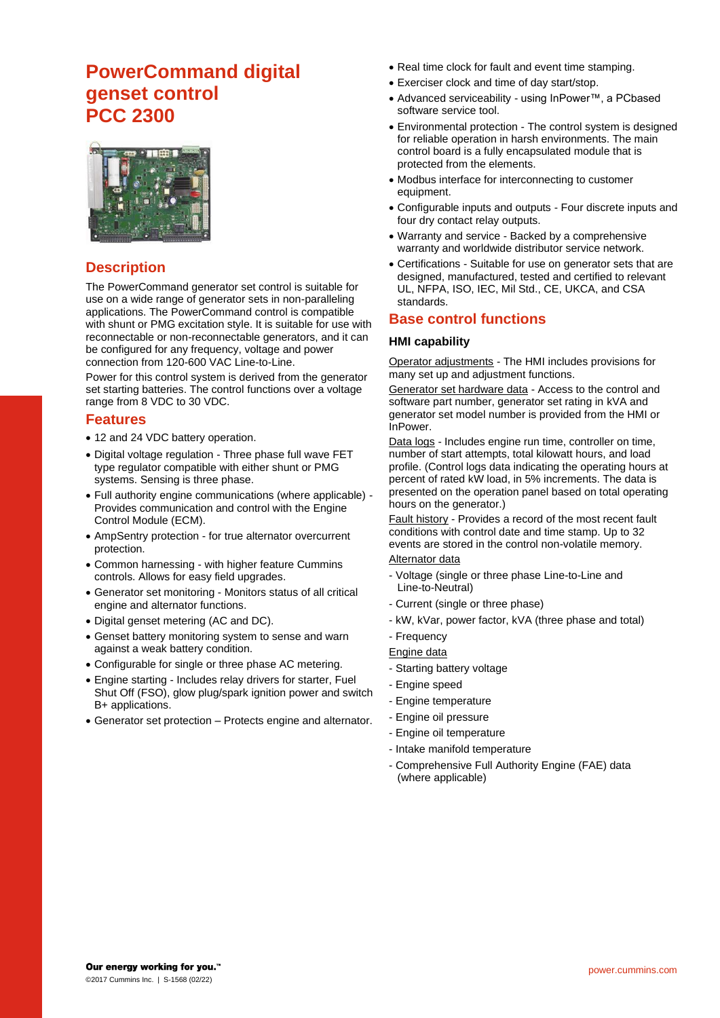## **PowerCommand digital genset control PCC 2300**



#### **Description**

The PowerCommand generator set control is suitable for use on a wide range of generator sets in non-paralleling applications. The PowerCommand control is compatible with shunt or PMG excitation style. It is suitable for use with reconnectable or non-reconnectable generators, and it can be configured for any frequency, voltage and power connection from 120-600 VAC Line-to-Line.

Power for this control system is derived from the generator set starting batteries. The control functions over a voltage range from 8 VDC to 30 VDC.

#### **Features**

- 12 and 24 VDC battery operation.
- Digital voltage regulation Three phase full wave FET type regulator compatible with either shunt or PMG systems. Sensing is three phase.
- Full authority engine communications (where applicable) Provides communication and control with the Engine Control Module (ECM).
- AmpSentry protection for true alternator overcurrent protection.
- Common harnessing with higher feature Cummins controls. Allows for easy field upgrades.
- Generator set monitoring Monitors status of all critical engine and alternator functions.
- Digital genset metering (AC and DC).
- Genset battery monitoring system to sense and warn against a weak battery condition.
- Configurable for single or three phase AC metering.
- Engine starting Includes relay drivers for starter, Fuel Shut Off (FSO), glow plug/spark ignition power and switch B+ applications.
- Generator set protection Protects engine and alternator.
- Real time clock for fault and event time stamping.
- Exerciser clock and time of day start/stop.
- Advanced serviceability using InPower™, a PCbased software service tool.
- Environmental protection The control system is designed for reliable operation in harsh environments. The main control board is a fully encapsulated module that is protected from the elements.
- Modbus interface for interconnecting to customer equipment.
- Configurable inputs and outputs Four discrete inputs and four dry contact relay outputs.
- Warranty and service Backed by a comprehensive warranty and worldwide distributor service network.
- Certifications Suitable for use on generator sets that are designed, manufactured, tested and certified to relevant UL, NFPA, ISO, IEC, Mil Std., CE, UKCA, and CSA standards.

#### **Base control functions**

#### **HMI capability**

Operator adjustments - The HMI includes provisions for many set up and adjustment functions.

Generator set hardware data - Access to the control and software part number, generator set rating in kVA and generator set model number is provided from the HMI or InPower.

Data logs - Includes engine run time, controller on time, number of start attempts, total kilowatt hours, and load profile. (Control logs data indicating the operating hours at percent of rated kW load, in 5% increments. The data is presented on the operation panel based on total operating hours on the generator.)

Fault history - Provides a record of the most recent fault conditions with control date and time stamp. Up to 32 events are stored in the control non-volatile memory.

#### Alternator data

- Voltage (single or three phase Line-to-Line and Line-to-Neutral)
- Current (single or three phase)
- kW, kVar, power factor, kVA (three phase and total)
- Frequency

Engine data

- Starting battery voltage
- Engine speed
- Engine temperature
- Engine oil pressure
- Engine oil temperature
- Intake manifold temperature
- Comprehensive Full Authority Engine (FAE) data (where applicable)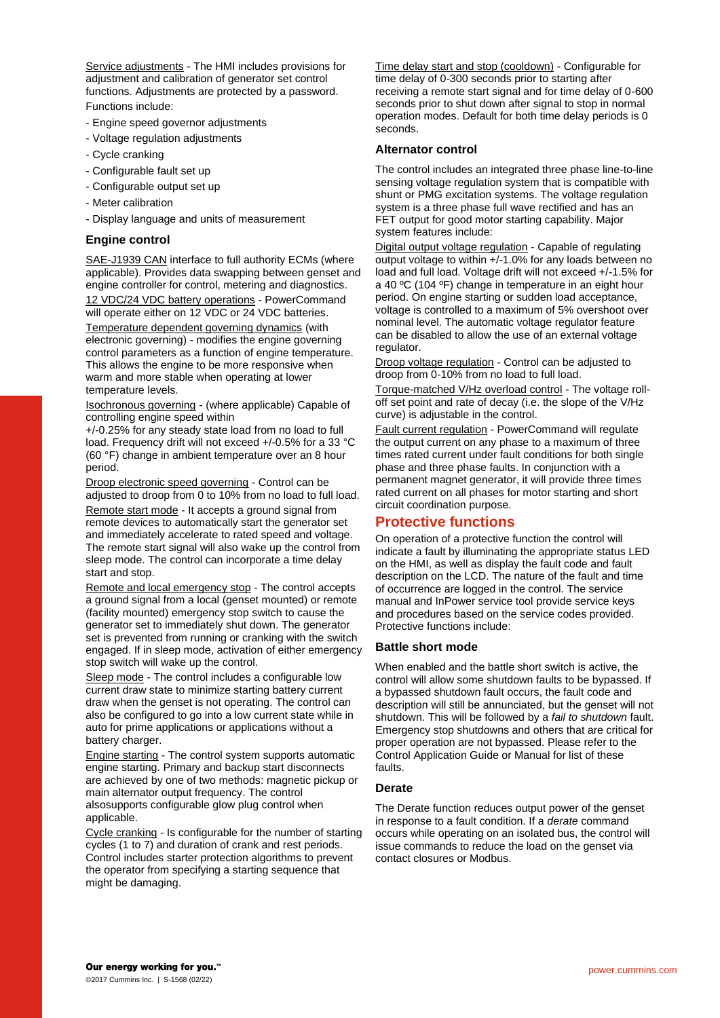Service adjustments - The HMI includes provisions for adjustment and calibration of generator set control functions. Adjustments are protected by a password. Functions include:

- Engine speed governor adjustments
- Voltage regulation adjustments
- Cycle cranking
- Configurable fault set up
- Configurable output set up
- Meter calibration
- Display language and units of measurement

#### **Engine control**

SAE-J1939 CAN interface to full authority ECMs (where applicable). Provides data swapping between genset and engine controller for control, metering and diagnostics. 12 VDC/24 VDC battery operations - PowerCommand will operate either on 12 VDC or 24 VDC batteries. Temperature dependent governing dynamics (with electronic governing) - modifies the engine governing control parameters as a function of engine temperature. This allows the engine to be more responsive when warm and more stable when operating at lower temperature levels.

Isochronous governing - (where applicable) Capable of controlling engine speed within

+/-0.25% for any steady state load from no load to full load. Frequency drift will not exceed +/-0.5% for a 33 °C (60 °F) change in ambient temperature over an 8 hour period.

Droop electronic speed governing - Control can be adjusted to droop from 0 to 10% from no load to full load.

Remote start mode - It accepts a ground signal from remote devices to automatically start the generator set and immediately accelerate to rated speed and voltage. The remote start signal will also wake up the control from sleep mode. The control can incorporate a time delay start and stop.

Remote and local emergency stop - The control accepts a ground signal from a local (genset mounted) or remote (facility mounted) emergency stop switch to cause the generator set to immediately shut down. The generator set is prevented from running or cranking with the switch engaged. If in sleep mode, activation of either emergency stop switch will wake up the control.

Sleep mode - The control includes a configurable low current draw state to minimize starting battery current draw when the genset is not operating. The control can also be configured to go into a low current state while in auto for prime applications or applications without a battery charger.

Engine starting - The control system supports automatic engine starting. Primary and backup start disconnects are achieved by one of two methods: magnetic pickup or main alternator output frequency. The control alsosupports configurable glow plug control when applicable.

Cycle cranking - Is configurable for the number of starting cycles (1 to 7) and duration of crank and rest periods. Control includes starter protection algorithms to prevent the operator from specifying a starting sequence that might be damaging.

Time delay start and stop (cooldown) - Configurable for time delay of 0-300 seconds prior to starting after receiving a remote start signal and for time delay of 0-600 seconds prior to shut down after signal to stop in normal operation modes. Default for both time delay periods is 0 seconds.

#### **Alternator control**

The control includes an integrated three phase line-to-line sensing voltage regulation system that is compatible with shunt or PMG excitation systems. The voltage regulation system is a three phase full wave rectified and has an FET output for good motor starting capability. Major system features include:

Digital output voltage regulation - Capable of regulating output voltage to within +/-1.0% for any loads between no load and full load. Voltage drift will not exceed +/-1.5% for a 40 ºC (104 ºF) change in temperature in an eight hour period. On engine starting or sudden load acceptance, voltage is controlled to a maximum of 5% overshoot over nominal level. The automatic voltage regulator feature can be disabled to allow the use of an external voltage regulator.

Droop voltage regulation - Control can be adjusted to droop from 0-10% from no load to full load.

Torque-matched V/Hz overload control - The voltage rolloff set point and rate of decay (i.e. the slope of the V/Hz curve) is adjustable in the control.

Fault current regulation - PowerCommand will regulate the output current on any phase to a maximum of three times rated current under fault conditions for both single phase and three phase faults. In conjunction with a permanent magnet generator, it will provide three times rated current on all phases for motor starting and short circuit coordination purpose.

#### **Protective functions**

On operation of a protective function the control will indicate a fault by illuminating the appropriate status LED on the HMI, as well as display the fault code and fault description on the LCD. The nature of the fault and time of occurrence are logged in the control. The service manual and InPower service tool provide service keys and procedures based on the service codes provided. Protective functions include:

#### **Battle short mode**

When enabled and the battle short switch is active, the control will allow some shutdown faults to be bypassed. If a bypassed shutdown fault occurs, the fault code and description will still be annunciated, but the genset will not shutdown. This will be followed by a *fail to shutdown* fault. Emergency stop shutdowns and others that are critical for proper operation are not bypassed. Please refer to the Control Application Guide or Manual for list of these faults.

#### **Derate**

The Derate function reduces output power of the genset in response to a fault condition. If a *derate* command occurs while operating on an isolated bus, the control will issue commands to reduce the load on the genset via contact closures or Modbus.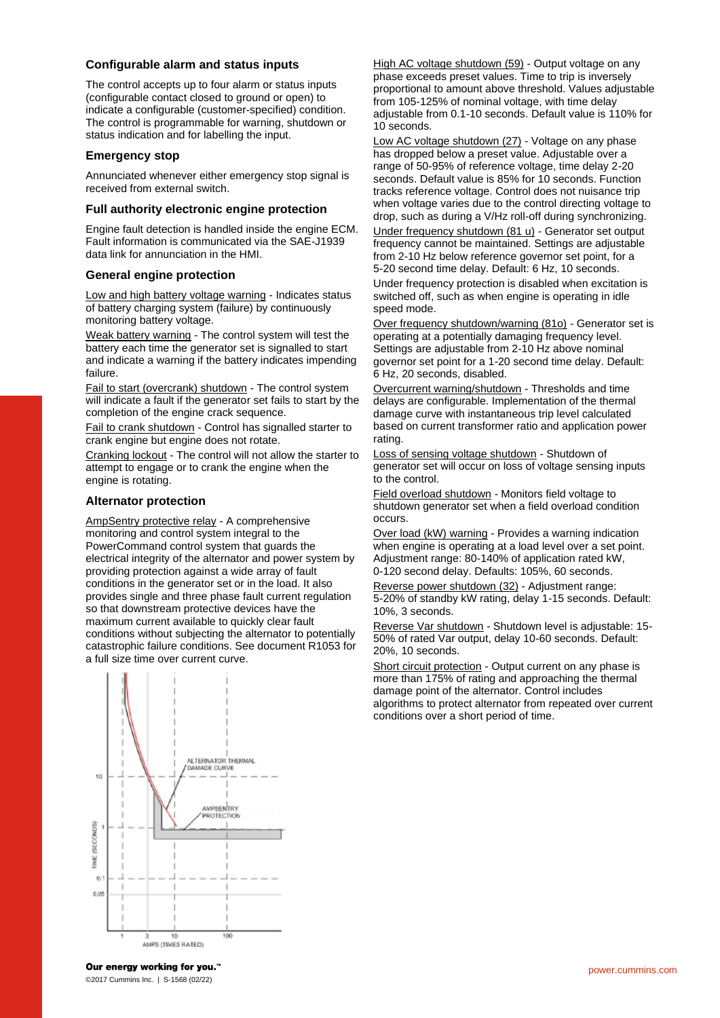#### **Configurable alarm and status inputs**

The control accepts up to four alarm or status inputs (configurable contact closed to ground or open) to indicate a configurable (customer-specified) condition. The control is programmable for warning, shutdown or status indication and for labelling the input.

#### **Emergency stop**

Annunciated whenever either emergency stop signal is received from external switch.

#### **Full authority electronic engine protection**

Engine fault detection is handled inside the engine ECM. Fault information is communicated via the SAE-J1939 data link for annunciation in the HMI.

#### **General engine protection**

Low and high battery voltage warning - Indicates status of battery charging system (failure) by continuously monitoring battery voltage.

Weak battery warning - The control system will test the battery each time the generator set is signalled to start and indicate a warning if the battery indicates impending failure.

Fail to start (overcrank) shutdown - The control system will indicate a fault if the generator set fails to start by the completion of the engine crack sequence.

Fail to crank shutdown - Control has signalled starter to crank engine but engine does not rotate.

Cranking lockout - The control will not allow the starter to attempt to engage or to crank the engine when the engine is rotating.

#### **Alternator protection**

AmpSentry protective relay - A comprehensive monitoring and control system integral to the PowerCommand control system that guards the electrical integrity of the alternator and power system by providing protection against a wide array of fault conditions in the generator set or in the load. It also provides single and three phase fault current regulation so that downstream protective devices have the maximum current available to quickly clear fault conditions without subjecting the alternator to potentially catastrophic failure conditions. See document R1053 for a full size time over current curve.



High AC voltage shutdown (59) - Output voltage on any phase exceeds preset values. Time to trip is inversely proportional to amount above threshold. Values adjustable from 105-125% of nominal voltage, with time delay adjustable from 0.1-10 seconds. Default value is 110% for 10 seconds.

Low AC voltage shutdown (27) - Voltage on any phase has dropped below a preset value. Adjustable over a range of 50-95% of reference voltage, time delay 2-20 seconds. Default value is 85% for 10 seconds. Function tracks reference voltage. Control does not nuisance trip when voltage varies due to the control directing voltage to drop, such as during a V/Hz roll-off during synchronizing. Under frequency shutdown (81 u) - Generator set output frequency cannot be maintained. Settings are adjustable from 2-10 Hz below reference governor set point, for a 5-20 second time delay. Default: 6 Hz, 10 seconds. Under frequency protection is disabled when excitation is switched off, such as when engine is operating in idle speed mode.

Over frequency shutdown/warning (81o) - Generator set is operating at a potentially damaging frequency level. Settings are adjustable from 2-10 Hz above nominal governor set point for a 1-20 second time delay. Default: 6 Hz, 20 seconds, disabled.

Overcurrent warning/shutdown - Thresholds and time delays are configurable. Implementation of the thermal damage curve with instantaneous trip level calculated based on current transformer ratio and application power rating.

Loss of sensing voltage shutdown - Shutdown of generator set will occur on loss of voltage sensing inputs to the control.

Field overload shutdown - Monitors field voltage to shutdown generator set when a field overload condition occurs.

Over load (kW) warning - Provides a warning indication when engine is operating at a load level over a set point. Adjustment range: 80-140% of application rated kW, 0-120 second delay. Defaults: 105%, 60 seconds.

Reverse power shutdown (32) - Adjustment range: 5-20% of standby kW rating, delay 1-15 seconds. Default: 10%, 3 seconds.

Reverse Var shutdown - Shutdown level is adjustable: 15- 50% of rated Var output, delay 10-60 seconds. Default: 20%, 10 seconds.

Short circuit protection - Output current on any phase is more than 175% of rating and approaching the thermal damage point of the alternator. Control includes algorithms to protect alternator from repeated over current conditions over a short period of time.

Our energy working for you.™ ©2017 Cummins Inc. | S-1568 (02/22)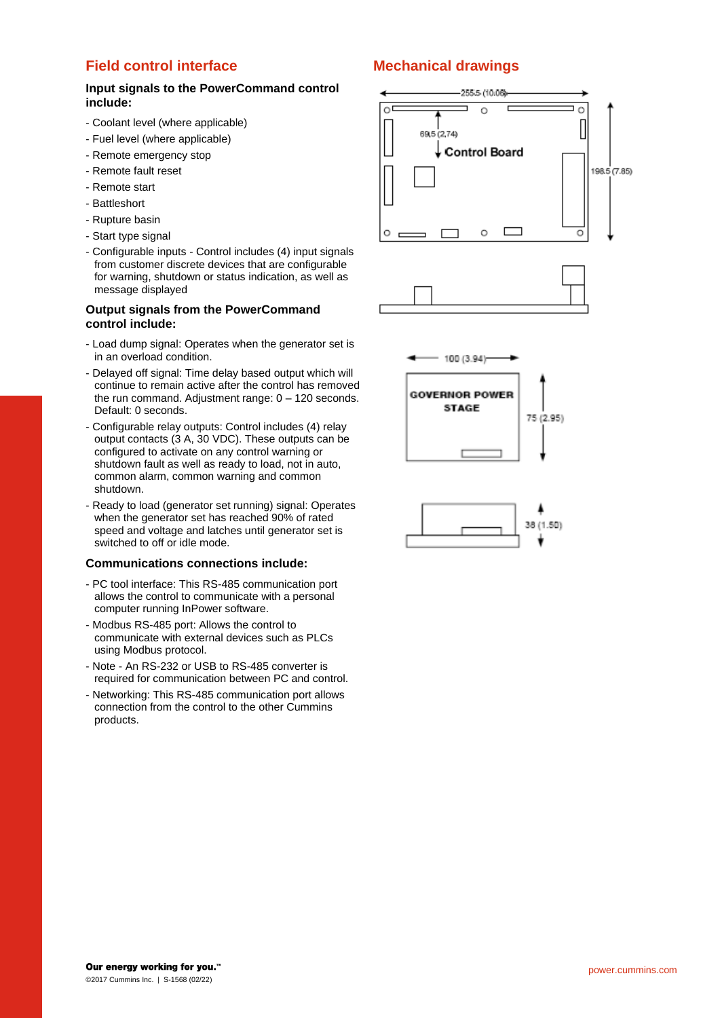#### **Field control interface**

#### **Input signals to the PowerCommand control include:**

- Coolant level (where applicable)
- Fuel level (where applicable)
- Remote emergency stop
- Remote fault reset
- Remote start
- Battleshort
- Rupture basin
- Start type signal
- Configurable inputs Control includes (4) input signals from customer discrete devices that are configurable for warning, shutdown or status indication, as well as message displayed

#### **Output signals from the PowerCommand control include:**

- Load dump signal: Operates when the generator set is in an overload condition.
- Delayed off signal: Time delay based output which will continue to remain active after the control has removed the run command. Adjustment range: 0 – 120 seconds. Default: 0 seconds.
- Configurable relay outputs: Control includes (4) relay output contacts (3 A, 30 VDC). These outputs can be configured to activate on any control warning or shutdown fault as well as ready to load, not in auto, common alarm, common warning and common shutdown.
- Ready to load (generator set running) signal: Operates when the generator set has reached 90% of rated speed and voltage and latches until generator set is switched to off or idle mode.

#### **Communications connections include:**

- PC tool interface: This RS-485 communication port allows the control to communicate with a personal computer running InPower software.
- Modbus RS-485 port: Allows the control to communicate with external devices such as PLCs using Modbus protocol.
- Note An RS-232 or USB to RS-485 converter is required for communication between PC and control.
- Networking: This RS-485 communication port allows connection from the control to the other Cummins products.

#### **Mechanical drawings**

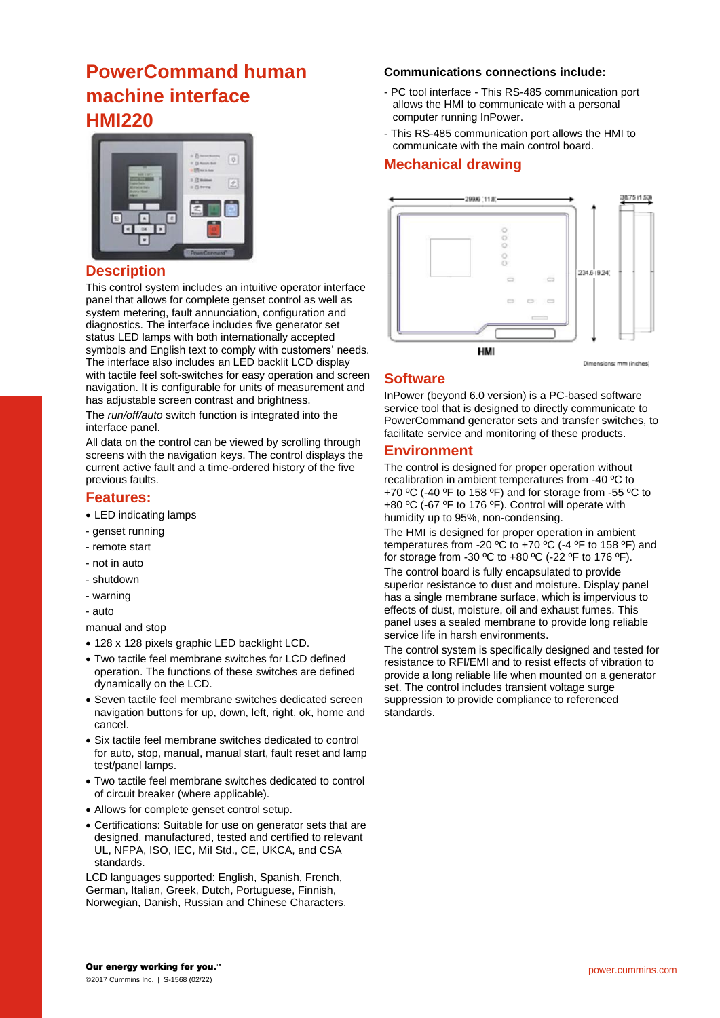## **PowerCommand human machine interface HMI220**



#### **Description**

This control system includes an intuitive operator interface panel that allows for complete genset control as well as system metering, fault annunciation, configuration and diagnostics. The interface includes five generator set status LED lamps with both internationally accepted symbols and English text to comply with customers' needs. The interface also includes an LED backlit LCD display with tactile feel soft-switches for easy operation and screen navigation. It is configurable for units of measurement and has adjustable screen contrast and brightness.

The *run/off/auto* switch function is integrated into the interface panel.

All data on the control can be viewed by scrolling through screens with the navigation keys. The control displays the current active fault and a time-ordered history of the five previous faults.

#### **Features:**

- LED indicating lamps
- genset running
- remote start
- not in auto
- shutdown
- warning
- auto

manual and stop

- 128 x 128 pixels graphic LED backlight LCD.
- Two tactile feel membrane switches for LCD defined operation. The functions of these switches are defined dynamically on the LCD.
- Seven tactile feel membrane switches dedicated screen navigation buttons for up, down, left, right, ok, home and cancel.
- Six tactile feel membrane switches dedicated to control for auto, stop, manual, manual start, fault reset and lamp test/panel lamps.
- Two tactile feel membrane switches dedicated to control of circuit breaker (where applicable).
- Allows for complete genset control setup.
- Certifications: Suitable for use on generator sets that are designed, manufactured, tested and certified to relevant UL, NFPA, ISO, IEC, Mil Std., CE, UKCA, and CSA standards.

LCD languages supported: English, Spanish, French, German, Italian, Greek, Dutch, Portuguese, Finnish, Norwegian, Danish, Russian and Chinese Characters.

#### **Communications connections include:**

- PC tool interface This RS-485 communication port allows the HMI to communicate with a personal computer running InPower.
- This RS-485 communication port allows the HMI to communicate with the main control board.

#### **Mechanical drawing**



#### **Software**

InPower (beyond 6.0 version) is a PC-based software service tool that is designed to directly communicate to PowerCommand generator sets and transfer switches, to facilitate service and monitoring of these products.

#### **Environment**

The control is designed for proper operation without recalibration in ambient temperatures from -40 ºC to +70 ºC (-40 ºF to 158 ºF) and for storage from -55 ºC to +80 ºC (-67 ºF to 176 ºF). Control will operate with humidity up to 95%, non-condensing.

The HMI is designed for proper operation in ambient temperatures from -20  $\mathrm{^oC}$  to +70  $\mathrm{^oC}$  (-4  $\mathrm{^oF}$  to 158  $\mathrm{^oF}$ ) and for storage from -30 °C to +80 °C (-22 °F to 176 °F).

The control board is fully encapsulated to provide superior resistance to dust and moisture. Display panel has a single membrane surface, which is impervious to effects of dust, moisture, oil and exhaust fumes. This panel uses a sealed membrane to provide long reliable service life in harsh environments.

The control system is specifically designed and tested for resistance to RFI/EMI and to resist effects of vibration to provide a long reliable life when mounted on a generator set. The control includes transient voltage surge suppression to provide compliance to referenced standards.